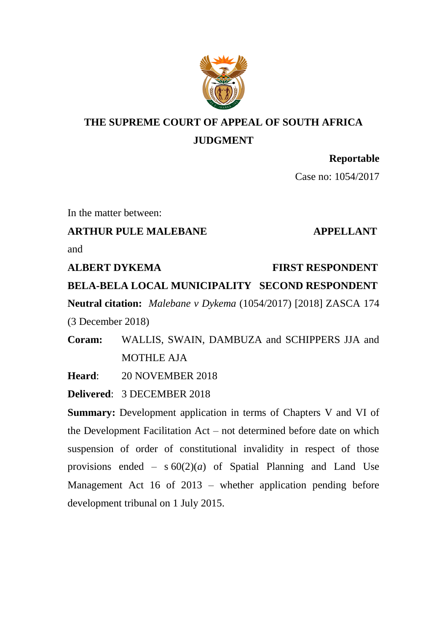

# **THE SUPREME COURT OF APPEAL OF SOUTH AFRICA JUDGMENT**

# **Reportable**

Case no: 1054/2017

In the matter between:

# **ARTHUR PULE MALEBANE APPELLANT**

and

**ALBERT DYKEMA** FIRST RESPONDENT **BELA-BELA LOCAL MUNICIPALITY SECOND RESPONDENT Neutral citation:** *Malebane v Dykema* (1054/2017) [2018] ZASCA 174 (3 December 2018)

**Coram:** WALLIS, SWAIN, DAMBUZA and SCHIPPERS JJA and MOTHLE AJA

**Heard**: 20 NOVEMBER 2018

**Delivered**: 3 DECEMBER 2018

**Summary:** Development application in terms of Chapters V and VI of the Development Facilitation Act – not determined before date on which suspension of order of constitutional invalidity in respect of those provisions ended  $-$  s  $60(2)(a)$  of Spatial Planning and Land Use Management Act 16 of 2013 – whether application pending before development tribunal on 1 July 2015.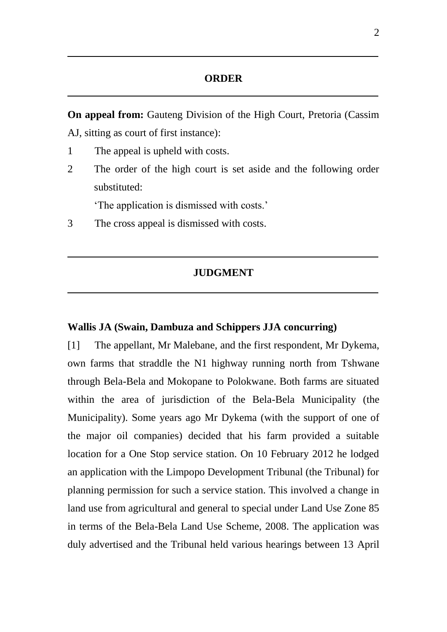## **ORDER**

**On appeal from:** Gauteng Division of the High Court, Pretoria (Cassim AJ, sitting as court of first instance):

- 1 The appeal is upheld with costs.
- 2 The order of the high court is set aside and the following order substituted:

'The application is dismissed with costs.'

3 The cross appeal is dismissed with costs.

### **JUDGMENT**

### **Wallis JA (Swain, Dambuza and Schippers JJA concurring)**

[1] The appellant, Mr Malebane, and the first respondent, Mr Dykema, own farms that straddle the N1 highway running north from Tshwane through Bela-Bela and Mokopane to Polokwane. Both farms are situated within the area of jurisdiction of the Bela-Bela Municipality (the Municipality). Some years ago Mr Dykema (with the support of one of the major oil companies) decided that his farm provided a suitable location for a One Stop service station. On 10 February 2012 he lodged an application with the Limpopo Development Tribunal (the Tribunal) for planning permission for such a service station. This involved a change in land use from agricultural and general to special under Land Use Zone 85 in terms of the Bela-Bela Land Use Scheme, 2008. The application was duly advertised and the Tribunal held various hearings between 13 April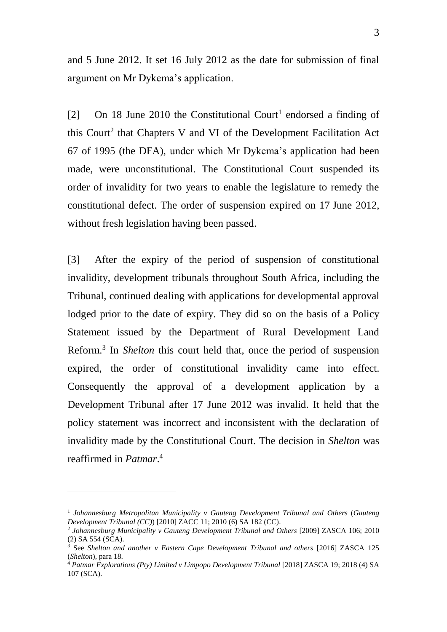and 5 June 2012. It set 16 July 2012 as the date for submission of final argument on Mr Dykema's application.

[2] On 18 June 2010 the Constitutional Court<sup>1</sup> endorsed a finding of this Court<sup>2</sup> that Chapters V and VI of the Development Facilitation Act 67 of 1995 (the DFA), under which Mr Dykema's application had been made, were unconstitutional. The Constitutional Court suspended its order of invalidity for two years to enable the legislature to remedy the constitutional defect. The order of suspension expired on 17 June 2012, without fresh legislation having been passed.

[3] After the expiry of the period of suspension of constitutional invalidity, development tribunals throughout South Africa, including the Tribunal, continued dealing with applications for developmental approval lodged prior to the date of expiry. They did so on the basis of a Policy Statement issued by the Department of Rural Development Land Reform.<sup>3</sup> In *Shelton* this court held that, once the period of suspension expired, the order of constitutional invalidity came into effect. Consequently the approval of a development application by a Development Tribunal after 17 June 2012 was invalid. It held that the policy statement was incorrect and inconsistent with the declaration of invalidity made by the Constitutional Court. The decision in *Shelton* was reaffirmed in *Patmar*. 4

 $\overline{a}$ 

<sup>1</sup> *Johannesburg Metropolitan Municipality v Gauteng Development Tribunal and Others* (*Gauteng Development Tribunal (CC)*) [2010] ZACC 11; 2010 (6) SA 182 (CC).

<sup>2</sup> *Johannesburg Municipality v Gauteng Development Tribunal and Others* [2009] ZASCA 106; 2010 (2) SA 554 (SCA).

<sup>3</sup> See *Shelton and another v Eastern Cape Development Tribunal and others* [2016] ZASCA 125 (*Shelton*), para 18.

<sup>4</sup> *Patmar Explorations (Pty) Limited v Limpopo Development Tribunal* [2018] ZASCA 19; 2018 (4) SA 107 (SCA).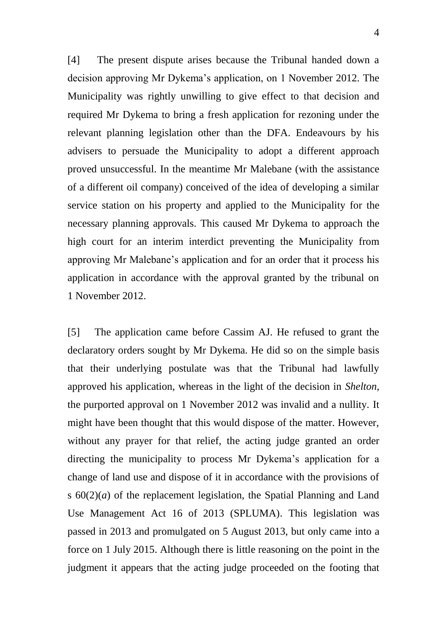[4] The present dispute arises because the Tribunal handed down a decision approving Mr Dykema's application, on 1 November 2012. The Municipality was rightly unwilling to give effect to that decision and required Mr Dykema to bring a fresh application for rezoning under the relevant planning legislation other than the DFA. Endeavours by his advisers to persuade the Municipality to adopt a different approach proved unsuccessful. In the meantime Mr Malebane (with the assistance of a different oil company) conceived of the idea of developing a similar service station on his property and applied to the Municipality for the necessary planning approvals. This caused Mr Dykema to approach the high court for an interim interdict preventing the Municipality from approving Mr Malebane's application and for an order that it process his application in accordance with the approval granted by the tribunal on 1 November 2012.

[5] The application came before Cassim AJ. He refused to grant the declaratory orders sought by Mr Dykema. He did so on the simple basis that their underlying postulate was that the Tribunal had lawfully approved his application, whereas in the light of the decision in *Shelton*, the purported approval on 1 November 2012 was invalid and a nullity. It might have been thought that this would dispose of the matter. However, without any prayer for that relief, the acting judge granted an order directing the municipality to process Mr Dykema's application for a change of land use and dispose of it in accordance with the provisions of s 60(2)(*a*) of the replacement legislation, the Spatial Planning and Land Use Management Act 16 of 2013 (SPLUMA). This legislation was passed in 2013 and promulgated on 5 August 2013, but only came into a force on 1 July 2015. Although there is little reasoning on the point in the judgment it appears that the acting judge proceeded on the footing that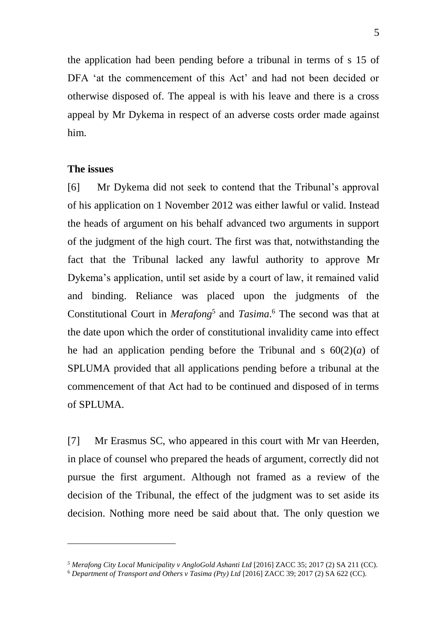the application had been pending before a tribunal in terms of s 15 of DFA 'at the commencement of this Act' and had not been decided or otherwise disposed of. The appeal is with his leave and there is a cross appeal by Mr Dykema in respect of an adverse costs order made against him.

## **The issues**

 $\overline{a}$ 

[6] Mr Dykema did not seek to contend that the Tribunal's approval of his application on 1 November 2012 was either lawful or valid. Instead the heads of argument on his behalf advanced two arguments in support of the judgment of the high court. The first was that, notwithstanding the fact that the Tribunal lacked any lawful authority to approve Mr Dykema's application, until set aside by a court of law, it remained valid and binding. Reliance was placed upon the judgments of the Constitutional Court in *Merafong*<sup>5</sup> and *Tasima*. <sup>6</sup> The second was that at the date upon which the order of constitutional invalidity came into effect he had an application pending before the Tribunal and s  $60(2)(a)$  of SPLUMA provided that all applications pending before a tribunal at the commencement of that Act had to be continued and disposed of in terms of SPLUMA.

[7] Mr Erasmus SC, who appeared in this court with Mr van Heerden, in place of counsel who prepared the heads of argument, correctly did not pursue the first argument. Although not framed as a review of the decision of the Tribunal, the effect of the judgment was to set aside its decision. Nothing more need be said about that. The only question we

*<sup>5</sup> Merafong City Local Municipality v AngloGold Ashanti Ltd* [2016] ZACC 35; 2017 (2) SA 211 (CC).

<sup>6</sup> *Department of Transport and Others v Tasima (Pty) Ltd* [2016] ZACC 39; 2017 (2) SA 622 (CC).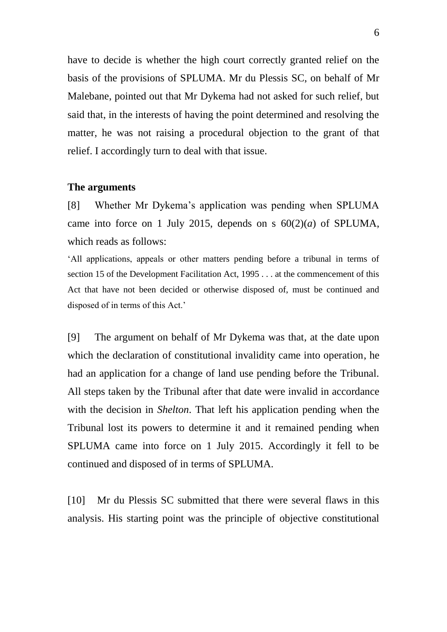have to decide is whether the high court correctly granted relief on the basis of the provisions of SPLUMA. Mr du Plessis SC, on behalf of Mr Malebane, pointed out that Mr Dykema had not asked for such relief, but said that, in the interests of having the point determined and resolving the matter, he was not raising a procedural objection to the grant of that relief. I accordingly turn to deal with that issue.

#### **The arguments**

[8] Whether Mr Dykema's application was pending when SPLUMA came into force on 1 July 2015, depends on s  $60(2)(a)$  of SPLUMA, which reads as follows:

'All applications, appeals or other matters pending before a tribunal in terms of section 15 of the Development Facilitation Act, 1995 . . . at the commencement of this Act that have not been decided or otherwise disposed of, must be continued and disposed of in terms of this Act.'

[9] The argument on behalf of Mr Dykema was that, at the date upon which the declaration of constitutional invalidity came into operation, he had an application for a change of land use pending before the Tribunal. All steps taken by the Tribunal after that date were invalid in accordance with the decision in *Shelton*. That left his application pending when the Tribunal lost its powers to determine it and it remained pending when SPLUMA came into force on 1 July 2015. Accordingly it fell to be continued and disposed of in terms of SPLUMA.

[10] Mr du Plessis SC submitted that there were several flaws in this analysis. His starting point was the principle of objective constitutional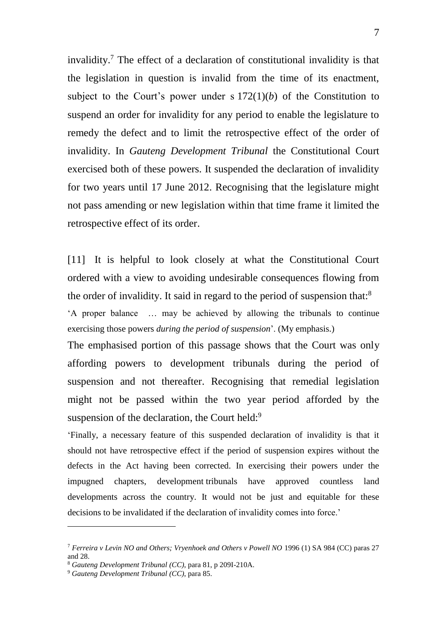invalidity.<sup>7</sup> The effect of a declaration of constitutional invalidity is that the legislation in question is invalid from the time of its enactment, subject to the Court's power under  $s 172(1)(b)$  of the Constitution to suspend an order for invalidity for any period to enable the legislature to remedy the defect and to limit the retrospective effect of the order of invalidity. In *Gauteng Development Tribunal* the Constitutional Court exercised both of these powers. It suspended the declaration of invalidity for two years until 17 June 2012. Recognising that the legislature might not pass amending or new legislation within that time frame it limited the retrospective effect of its order.

[11] It is helpful to look closely at what the Constitutional Court ordered with a view to avoiding undesirable consequences flowing from the order of invalidity. It said in regard to the period of suspension that:<sup>8</sup>

'A proper balance … may be achieved by allowing the tribunals to continue exercising those powers *during the period of suspension*'. (My emphasis.)

The emphasised portion of this passage shows that the Court was only affording powers to development tribunals during the period of suspension and not thereafter. Recognising that remedial legislation might not be passed within the two year period afforded by the suspension of the declaration, the Court held:<sup>9</sup>

'Finally, a necessary feature of this suspended declaration of invalidity is that it should not have retrospective effect if the period of suspension expires without the defects in the Act having been corrected. In exercising their powers under the impugned chapters, development tribunals have approved countless land developments across the country. It would not be just and equitable for these decisions to be invalidated if the declaration of invalidity comes into force.'

-

<sup>7</sup> *Ferreira v Levin NO and Others; Vryenhoek and Others v Powell NO* 1996 (1) SA 984 (CC) paras 27 and 28.

<sup>8</sup> *Gauteng Development Tribunal (CC)*, para 81, p 209I-210A.

<sup>9</sup> *Gauteng Development Tribunal (CC)*, para 85.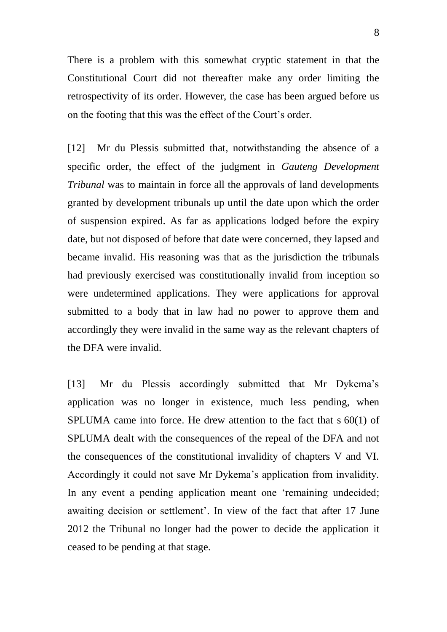There is a problem with this somewhat cryptic statement in that the Constitutional Court did not thereafter make any order limiting the retrospectivity of its order. However, the case has been argued before us on the footing that this was the effect of the Court's order.

[12] Mr du Plessis submitted that, notwithstanding the absence of a specific order, the effect of the judgment in *Gauteng Development Tribunal* was to maintain in force all the approvals of land developments granted by development tribunals up until the date upon which the order of suspension expired. As far as applications lodged before the expiry date, but not disposed of before that date were concerned, they lapsed and became invalid. His reasoning was that as the jurisdiction the tribunals had previously exercised was constitutionally invalid from inception so were undetermined applications. They were applications for approval submitted to a body that in law had no power to approve them and accordingly they were invalid in the same way as the relevant chapters of the DFA were invalid.

[13] Mr du Plessis accordingly submitted that Mr Dykema's application was no longer in existence, much less pending, when SPLUMA came into force. He drew attention to the fact that s 60(1) of SPLUMA dealt with the consequences of the repeal of the DFA and not the consequences of the constitutional invalidity of chapters V and VI. Accordingly it could not save Mr Dykema's application from invalidity. In any event a pending application meant one 'remaining undecided; awaiting decision or settlement'. In view of the fact that after 17 June 2012 the Tribunal no longer had the power to decide the application it ceased to be pending at that stage.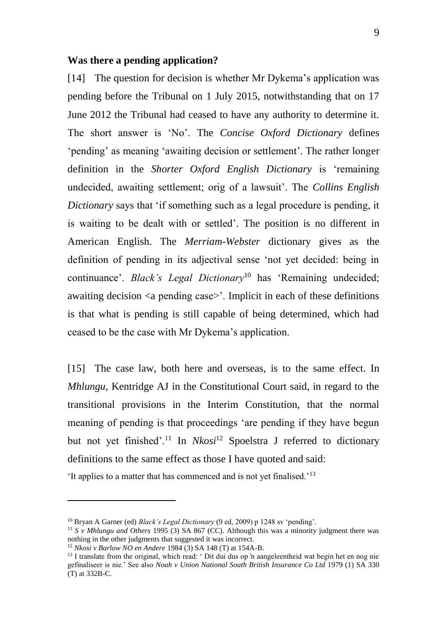#### **Was there a pending application?**

[14] The question for decision is whether Mr Dykema's application was pending before the Tribunal on 1 July 2015, notwithstanding that on 17 June 2012 the Tribunal had ceased to have any authority to determine it. The short answer is 'No'. The *Concise Oxford Dictionary* defines 'pending' as meaning 'awaiting decision or settlement'. The rather longer definition in the *Shorter Oxford English Dictionary* is 'remaining undecided, awaiting settlement; orig of a lawsuit'. The *Collins English Dictionary* says that 'if something such as a legal procedure is pending, it is waiting to be dealt with or settled'. The position is no different in American English. The *Merriam-Webster* dictionary gives as the definition of pending in its adjectival sense 'not yet decided: being in continuance'. *Black's Legal Dictionary*<sup>10</sup> has 'Remaining undecided; awaiting decision  $\langle a \rangle$  pending case  $\langle b \rangle$ . Implicit in each of these definitions is that what is pending is still capable of being determined, which had ceased to be the case with Mr Dykema's application.

[15] The case law, both here and overseas, is to the same effect. In *Mhlungu*, Kentridge AJ in the Constitutional Court said, in regard to the transitional provisions in the Interim Constitution, that the normal meaning of pending is that proceedings 'are pending if they have begun but not yet finished'.<sup>11</sup> In *Nkosi*<sup>12</sup> Spoelstra J referred to dictionary definitions to the same effect as those I have quoted and said:

'It applies to a matter that has commenced and is not yet finalised.'<sup>13</sup>

-

<sup>&</sup>lt;sup>10</sup> Bryan A Garner (ed) *Black's Legal Dictionary* (9 ed, 2009) p 1248 sv 'pending'.

<sup>11</sup> *S v Mhlungu and Others* 1995 (3) SA 867 (CC). Although this was a minority judgment there was nothing in the other judgments that suggested it was incorrect.

<sup>12</sup> *Nkosi v Barlow NO en Andere* 1984 (3) SA 148 (T) at 154A-B.

<sup>&</sup>lt;sup>13</sup> I translate from the original, which read: ' Dit dui dus op 'n aangeleentheid wat begin het en nog nie gefinaliseer is nie.' See also *Noah v Union National South British Insurance Co Ltd* 1979 (1) SA 330 (T) at 332B-C.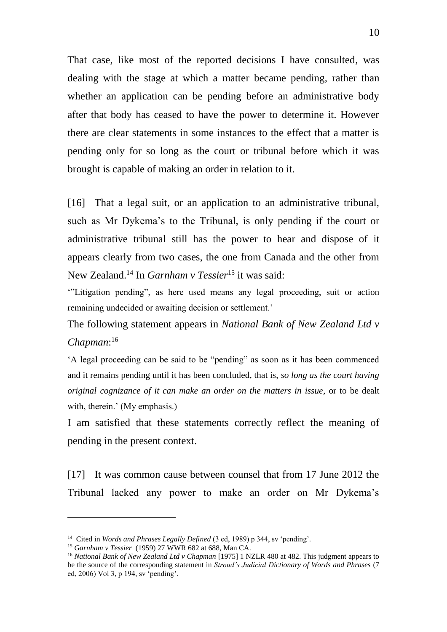That case, like most of the reported decisions I have consulted, was dealing with the stage at which a matter became pending, rather than whether an application can be pending before an administrative body after that body has ceased to have the power to determine it. However there are clear statements in some instances to the effect that a matter is pending only for so long as the court or tribunal before which it was brought is capable of making an order in relation to it.

[16] That a legal suit, or an application to an administrative tribunal, such as Mr Dykema's to the Tribunal, is only pending if the court or administrative tribunal still has the power to hear and dispose of it appears clearly from two cases, the one from Canada and the other from New Zealand.<sup>14</sup> In *Garnham v Tessier*<sup>15</sup> it was said:

'"Litigation pending", as here used means any legal proceeding, suit or action remaining undecided or awaiting decision or settlement.'

The following statement appears in *National Bank of New Zealand Ltd v Chapman*: 16

'A legal proceeding can be said to be "pending" as soon as it has been commenced and it remains pending until it has been concluded, that is, *so long as the court having original cognizance of it can make an order on the matters in issue*, or to be dealt with, therein.' (My emphasis.)

I am satisfied that these statements correctly reflect the meaning of pending in the present context.

[17] It was common cause between counsel that from 17 June 2012 the Tribunal lacked any power to make an order on Mr Dykema's

 $\overline{a}$ 

<sup>&</sup>lt;sup>14</sup> Cited in *Words and Phrases Legally Defined* (3 ed. 1989) p 344, sv 'pending'.

<sup>15</sup> *Garnham v Tessier* (1959) 27 WWR 682 at 688, Man CA.

<sup>&</sup>lt;sup>16</sup> National Bank of New Zealand Ltd v Chapman [1975] 1 NZLR 480 at 482. This judgment appears to be the source of the corresponding statement in *Stroud's Judicial Dictionary of Words and Phrases* (7 ed, 2006) Vol 3, p 194, sv 'pending'.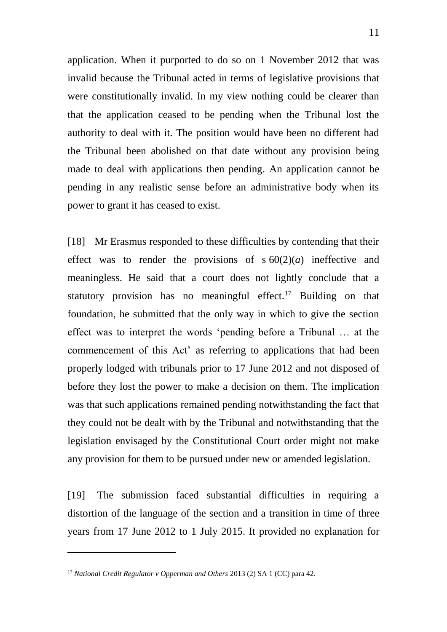application. When it purported to do so on 1 November 2012 that was invalid because the Tribunal acted in terms of legislative provisions that were constitutionally invalid. In my view nothing could be clearer than that the application ceased to be pending when the Tribunal lost the authority to deal with it. The position would have been no different had the Tribunal been abolished on that date without any provision being made to deal with applications then pending. An application cannot be pending in any realistic sense before an administrative body when its power to grant it has ceased to exist.

[18] Mr Erasmus responded to these difficulties by contending that their effect was to render the provisions of  $s 60(2)(a)$  ineffective and meaningless. He said that a court does not lightly conclude that a statutory provision has no meaningful effect.<sup>17</sup> Building on that foundation, he submitted that the only way in which to give the section effect was to interpret the words 'pending before a Tribunal … at the commencement of this Act' as referring to applications that had been properly lodged with tribunals prior to 17 June 2012 and not disposed of before they lost the power to make a decision on them. The implication was that such applications remained pending notwithstanding the fact that they could not be dealt with by the Tribunal and notwithstanding that the legislation envisaged by the Constitutional Court order might not make any provision for them to be pursued under new or amended legislation.

[19] The submission faced substantial difficulties in requiring a distortion of the language of the section and a transition in time of three years from 17 June 2012 to 1 July 2015. It provided no explanation for

-

<sup>17</sup> *National Credit Regulator v Opperman and Others* 2013 (2) SA 1 (CC) para 42.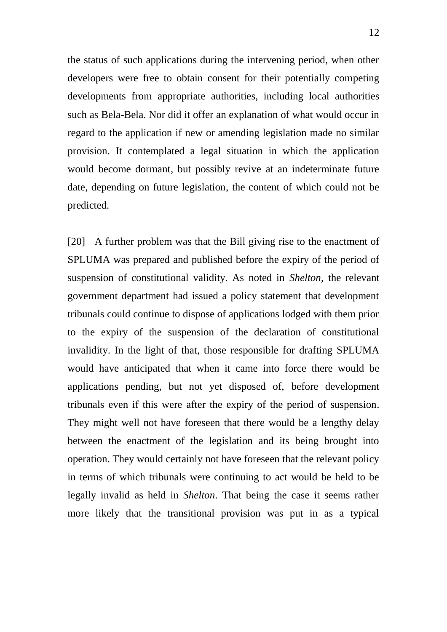the status of such applications during the intervening period, when other developers were free to obtain consent for their potentially competing developments from appropriate authorities, including local authorities such as Bela-Bela. Nor did it offer an explanation of what would occur in regard to the application if new or amending legislation made no similar provision. It contemplated a legal situation in which the application would become dormant, but possibly revive at an indeterminate future date, depending on future legislation, the content of which could not be predicted.

[20] A further problem was that the Bill giving rise to the enactment of SPLUMA was prepared and published before the expiry of the period of suspension of constitutional validity. As noted in *Shelton,* the relevant government department had issued a policy statement that development tribunals could continue to dispose of applications lodged with them prior to the expiry of the suspension of the declaration of constitutional invalidity. In the light of that, those responsible for drafting SPLUMA would have anticipated that when it came into force there would be applications pending, but not yet disposed of, before development tribunals even if this were after the expiry of the period of suspension. They might well not have foreseen that there would be a lengthy delay between the enactment of the legislation and its being brought into operation. They would certainly not have foreseen that the relevant policy in terms of which tribunals were continuing to act would be held to be legally invalid as held in *Shelton*. That being the case it seems rather more likely that the transitional provision was put in as a typical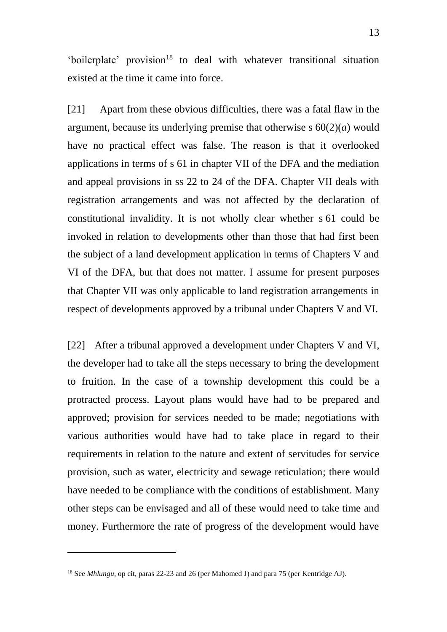'boilerplate' provision<sup>18</sup> to deal with whatever transitional situation existed at the time it came into force.

[21] Apart from these obvious difficulties, there was a fatal flaw in the argument, because its underlying premise that otherwise s 60(2)(*a*) would have no practical effect was false. The reason is that it overlooked applications in terms of s 61 in chapter VII of the DFA and the mediation and appeal provisions in ss 22 to 24 of the DFA. Chapter VII deals with registration arrangements and was not affected by the declaration of constitutional invalidity. It is not wholly clear whether s 61 could be invoked in relation to developments other than those that had first been the subject of a land development application in terms of Chapters V and VI of the DFA, but that does not matter. I assume for present purposes that Chapter VII was only applicable to land registration arrangements in respect of developments approved by a tribunal under Chapters V and VI.

[22] After a tribunal approved a development under Chapters V and VI, the developer had to take all the steps necessary to bring the development to fruition. In the case of a township development this could be a protracted process. Layout plans would have had to be prepared and approved; provision for services needed to be made; negotiations with various authorities would have had to take place in regard to their requirements in relation to the nature and extent of servitudes for service provision, such as water, electricity and sewage reticulation; there would have needed to be compliance with the conditions of establishment. Many other steps can be envisaged and all of these would need to take time and money. Furthermore the rate of progress of the development would have

-

<sup>&</sup>lt;sup>18</sup> See *Mhlungu*, op cit, paras 22-23 and 26 (per Mahomed J) and para 75 (per Kentridge AJ).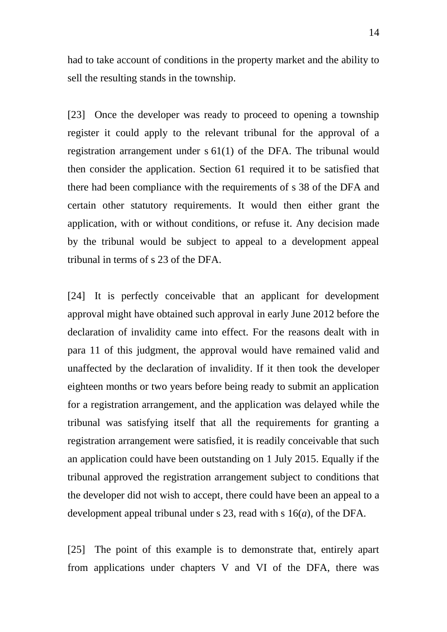had to take account of conditions in the property market and the ability to sell the resulting stands in the township.

[23] Once the developer was ready to proceed to opening a township register it could apply to the relevant tribunal for the approval of a registration arrangement under s 61(1) of the DFA. The tribunal would then consider the application. Section 61 required it to be satisfied that there had been compliance with the requirements of s 38 of the DFA and certain other statutory requirements. It would then either grant the application, with or without conditions, or refuse it. Any decision made by the tribunal would be subject to appeal to a development appeal tribunal in terms of s 23 of the DFA.

[24] It is perfectly conceivable that an applicant for development approval might have obtained such approval in early June 2012 before the declaration of invalidity came into effect. For the reasons dealt with in para 11 of this judgment, the approval would have remained valid and unaffected by the declaration of invalidity. If it then took the developer eighteen months or two years before being ready to submit an application for a registration arrangement, and the application was delayed while the tribunal was satisfying itself that all the requirements for granting a registration arrangement were satisfied, it is readily conceivable that such an application could have been outstanding on 1 July 2015. Equally if the tribunal approved the registration arrangement subject to conditions that the developer did not wish to accept, there could have been an appeal to a development appeal tribunal under s 23, read with s 16(*a*), of the DFA.

[25] The point of this example is to demonstrate that, entirely apart from applications under chapters V and VI of the DFA, there was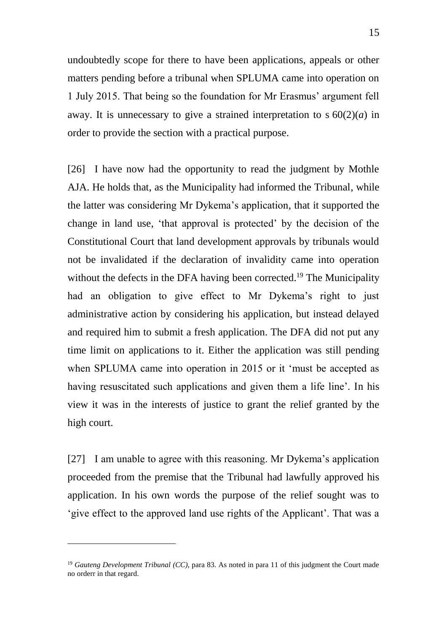undoubtedly scope for there to have been applications, appeals or other matters pending before a tribunal when SPLUMA came into operation on 1 July 2015. That being so the foundation for Mr Erasmus' argument fell away. It is unnecessary to give a strained interpretation to  $s 60(2)(a)$  in order to provide the section with a practical purpose.

[26] I have now had the opportunity to read the judgment by Mothle AJA. He holds that, as the Municipality had informed the Tribunal, while the latter was considering Mr Dykema's application, that it supported the change in land use, 'that approval is protected' by the decision of the Constitutional Court that land development approvals by tribunals would not be invalidated if the declaration of invalidity came into operation without the defects in the DFA having been corrected.<sup>19</sup> The Municipality had an obligation to give effect to Mr Dykema's right to just administrative action by considering his application, but instead delayed and required him to submit a fresh application. The DFA did not put any time limit on applications to it. Either the application was still pending when SPLUMA came into operation in 2015 or it 'must be accepted as having resuscitated such applications and given them a life line'. In his view it was in the interests of justice to grant the relief granted by the high court.

[27] I am unable to agree with this reasoning. Mr Dykema's application proceeded from the premise that the Tribunal had lawfully approved his application. In his own words the purpose of the relief sought was to 'give effect to the approved land use rights of the Applicant'. That was a

 $\overline{a}$ 

<sup>19</sup> *Gauteng Development Tribunal (CC)*, para 83. As noted in para 11 of this judgment the Court made no orderr in that regard.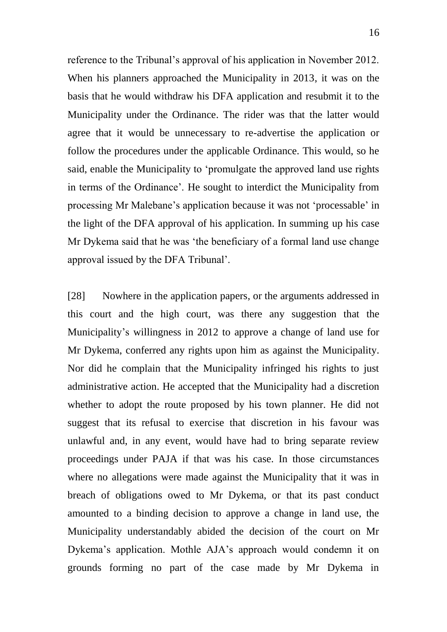reference to the Tribunal's approval of his application in November 2012. When his planners approached the Municipality in 2013, it was on the basis that he would withdraw his DFA application and resubmit it to the Municipality under the Ordinance. The rider was that the latter would agree that it would be unnecessary to re-advertise the application or follow the procedures under the applicable Ordinance. This would, so he said, enable the Municipality to 'promulgate the approved land use rights in terms of the Ordinance'. He sought to interdict the Municipality from processing Mr Malebane's application because it was not 'processable' in the light of the DFA approval of his application. In summing up his case Mr Dykema said that he was 'the beneficiary of a formal land use change approval issued by the DFA Tribunal'.

[28] Nowhere in the application papers, or the arguments addressed in this court and the high court, was there any suggestion that the Municipality's willingness in 2012 to approve a change of land use for Mr Dykema, conferred any rights upon him as against the Municipality. Nor did he complain that the Municipality infringed his rights to just administrative action. He accepted that the Municipality had a discretion whether to adopt the route proposed by his town planner. He did not suggest that its refusal to exercise that discretion in his favour was unlawful and, in any event, would have had to bring separate review proceedings under PAJA if that was his case. In those circumstances where no allegations were made against the Municipality that it was in breach of obligations owed to Mr Dykema, or that its past conduct amounted to a binding decision to approve a change in land use, the Municipality understandably abided the decision of the court on Mr Dykema's application. Mothle AJA's approach would condemn it on grounds forming no part of the case made by Mr Dykema in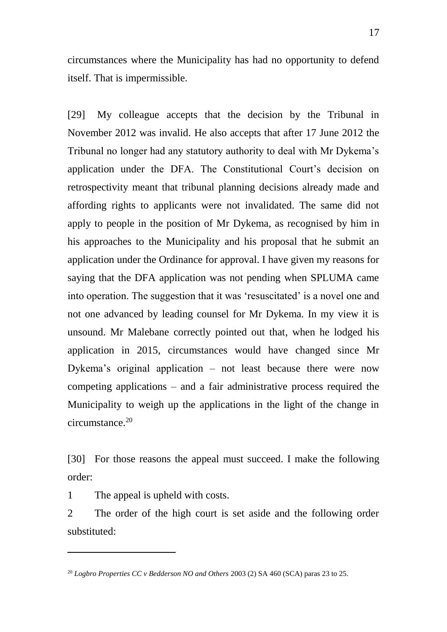circumstances where the Municipality has had no opportunity to defend itself. That is impermissible.

[29] My colleague accepts that the decision by the Tribunal in November 2012 was invalid. He also accepts that after 17 June 2012 the Tribunal no longer had any statutory authority to deal with Mr Dykema's application under the DFA. The Constitutional Court's decision on retrospectivity meant that tribunal planning decisions already made and affording rights to applicants were not invalidated. The same did not apply to people in the position of Mr Dykema, as recognised by him in his approaches to the Municipality and his proposal that he submit an application under the Ordinance for approval. I have given my reasons for saying that the DFA application was not pending when SPLUMA came into operation. The suggestion that it was 'resuscitated' is a novel one and not one advanced by leading counsel for Mr Dykema. In my view it is unsound. Mr Malebane correctly pointed out that, when he lodged his application in 2015, circumstances would have changed since Mr Dykema's original application – not least because there were now competing applications – and a fair administrative process required the Municipality to weigh up the applications in the light of the change in circumstance.<sup>20</sup>

[30] For those reasons the appeal must succeed. I make the following order:

1 The appeal is upheld with costs.

-

2 The order of the high court is set aside and the following order substituted:

<sup>20</sup> *Logbro Properties CC v Bedderson NO and Others* 2003 (2) SA 460 (SCA) paras 23 to 25.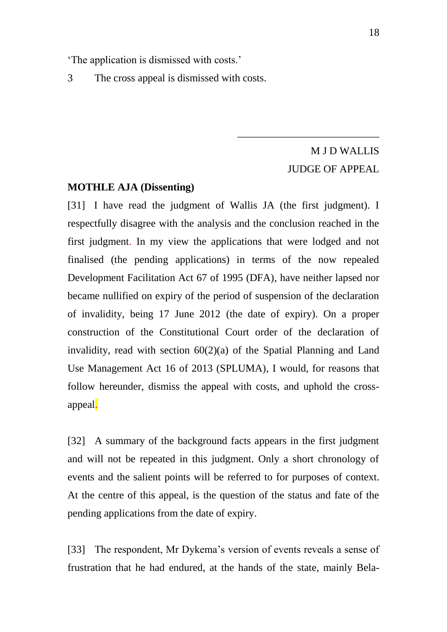'The application is dismissed with costs.'

3 The cross appeal is dismissed with costs.

# M J D WALLIS JUDGE OF APPEAL

\_\_\_\_\_\_\_\_\_\_\_\_\_\_\_\_\_\_\_\_\_\_\_\_\_\_\_

### **MOTHLE AJA (Dissenting)**

[31] I have read the judgment of Wallis JA (the first judgment). I respectfully disagree with the analysis and the conclusion reached in the first judgment. In my view the applications that were lodged and not finalised (the pending applications) in terms of the now repealed Development Facilitation Act 67 of 1995 (DFA)*,* have neither lapsed nor became nullified on expiry of the period of suspension of the declaration of invalidity, being 17 June 2012 (the date of expiry). On a proper construction of the Constitutional Court order of the declaration of invalidity, read with section 60(2)(a) of the Spatial Planning and Land Use Management Act 16 of 2013 (SPLUMA), I would, for reasons that follow hereunder, dismiss the appeal with costs, and uphold the crossappeal.

[32] A summary of the background facts appears in the first judgment and will not be repeated in this judgment. Only a short chronology of events and the salient points will be referred to for purposes of context. At the centre of this appeal, is the question of the status and fate of the pending applications from the date of expiry.

[33] The respondent, Mr Dykema's version of events reveals a sense of frustration that he had endured, at the hands of the state, mainly Bela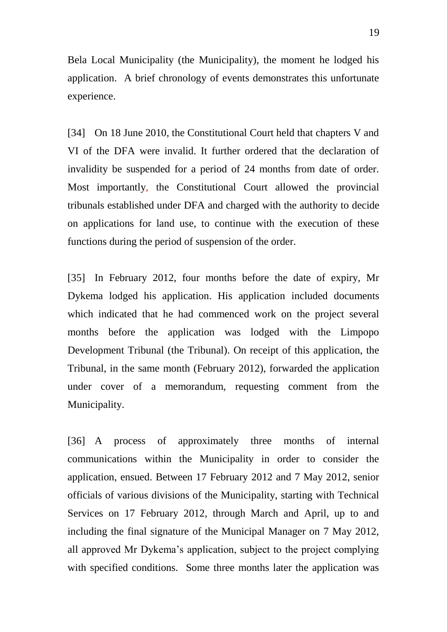Bela Local Municipality (the Municipality), the moment he lodged his application. A brief chronology of events demonstrates this unfortunate experience.

[34] On 18 June 2010, the Constitutional Court held that chapters V and VI of the DFA were invalid. It further ordered that the declaration of invalidity be suspended for a period of 24 months from date of order. Most importantly, the Constitutional Court allowed the provincial tribunals established under DFA and charged with the authority to decide on applications for land use, to continue with the execution of these functions during the period of suspension of the order.

[35] In February 2012, four months before the date of expiry, Mr Dykema lodged his application. His application included documents which indicated that he had commenced work on the project several months before the application was lodged with the Limpopo Development Tribunal (the Tribunal). On receipt of this application, the Tribunal, in the same month (February 2012), forwarded the application under cover of a memorandum, requesting comment from the Municipality.

[36] A process of approximately three months of internal communications within the Municipality in order to consider the application, ensued. Between 17 February 2012 and 7 May 2012, senior officials of various divisions of the Municipality, starting with Technical Services on 17 February 2012, through March and April, up to and including the final signature of the Municipal Manager on 7 May 2012, all approved Mr Dykema's application, subject to the project complying with specified conditions. Some three months later the application was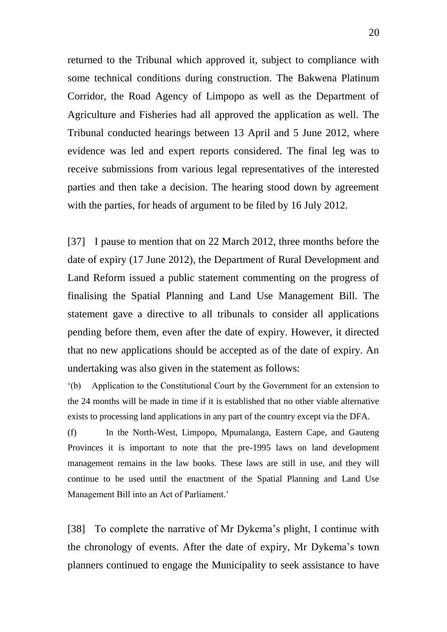returned to the Tribunal which approved it, subject to compliance with some technical conditions during construction. The Bakwena Platinum Corridor, the Road Agency of Limpopo as well as the Department of Agriculture and Fisheries had all approved the application as well. The Tribunal conducted hearings between 13 April and 5 June 2012, where evidence was led and expert reports considered. The final leg was to receive submissions from various legal representatives of the interested parties and then take a decision. The hearing stood down by agreement with the parties, for heads of argument to be filed by 16 July 2012.

[37] I pause to mention that on 22 March 2012, three months before the date of expiry (17 June 2012), the Department of Rural Development and Land Reform issued a public statement commenting on the progress of finalising the Spatial Planning and Land Use Management Bill. The statement gave a directive to all tribunals to consider all applications pending before them, even after the date of expiry. However, it directed that no new applications should be accepted as of the date of expiry. An undertaking was also given in the statement as follows:

'(b) Application to the Constitutional Court by the Government for an extension to the 24 months will be made in time if it is established that no other viable alternative exists to processing land applications in any part of the country except via the DFA.

(f) In the North-West, Limpopo, Mpumalanga, Eastern Cape, and Gauteng Provinces it is important to note that the pre-1995 laws on land development management remains in the law books. These laws are still in use, and they will continue to be used until the enactment of the Spatial Planning and Land Use Management Bill into an Act of Parliament.'

[38] To complete the narrative of Mr Dykema's plight, I continue with the chronology of events. After the date of expiry, Mr Dykema's town planners continued to engage the Municipality to seek assistance to have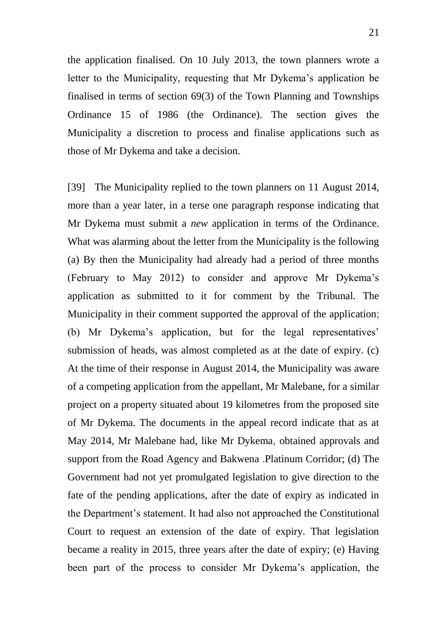the application finalised. On 10 July 2013, the town planners wrote a letter to the Municipality, requesting that Mr Dykema's application be finalised in terms of section 69(3) of the Town Planning and Townships Ordinance 15 of 1986 (the Ordinance). The section gives the Municipality a discretion to process and finalise applications such as those of Mr Dykema and take a decision.

[39] The Municipality replied to the town planners on 11 August 2014, more than a year later, in a terse one paragraph response indicating that Mr Dykema must submit a *new* application in terms of the Ordinance. What was alarming about the letter from the Municipality is the following (a) By then the Municipality had already had a period of three months (February to May 2012) to consider and approve Mr Dykema's application as submitted to it for comment by the Tribunal. The Municipality in their comment supported the approval of the application; (b) Mr Dykema's application, but for the legal representatives' submission of heads, was almost completed as at the date of expiry. (c) At the time of their response in August 2014, the Municipality was aware of a competing application from the appellant, Mr Malebane, for a similar project on a property situated about 19 kilometres from the proposed site of Mr Dykema. The documents in the appeal record indicate that as at May 2014, Mr Malebane had, like Mr Dykema, obtained approvals and support from the Road Agency and Bakwena .Platinum Corridor; (d) The Government had not yet promulgated legislation to give direction to the fate of the pending applications, after the date of expiry as indicated in the Department's statement. It had also not approached the Constitutional Court to request an extension of the date of expiry. That legislation became a reality in 2015, three years after the date of expiry; (e) Having been part of the process to consider Mr Dykema's application, the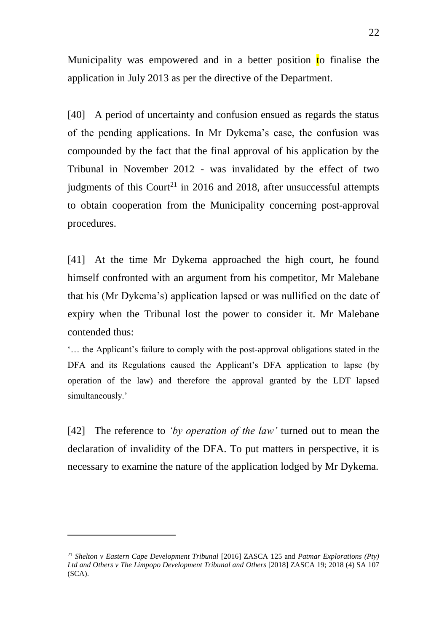Municipality was empowered and in a better position to finalise the application in July 2013 as per the directive of the Department.

[40] A period of uncertainty and confusion ensued as regards the status of the pending applications. In Mr Dykema's case, the confusion was compounded by the fact that the final approval of his application by the Tribunal in November 2012 - was invalidated by the effect of two judgments of this Court<sup>21</sup> in 2016 and 2018, after unsuccessful attempts to obtain cooperation from the Municipality concerning post-approval procedures.

[41] At the time Mr Dykema approached the high court, he found himself confronted with an argument from his competitor, Mr Malebane that his (Mr Dykema's) application lapsed or was nullified on the date of expiry when the Tribunal lost the power to consider it. Mr Malebane contended thus:

'… the Applicant's failure to comply with the post-approval obligations stated in the DFA and its Regulations caused the Applicant's DFA application to lapse (by operation of the law) and therefore the approval granted by the LDT lapsed simultaneously.'

[42] The reference to *'by operation of the law'* turned out to mean the declaration of invalidity of the DFA. To put matters in perspective, it is necessary to examine the nature of the application lodged by Mr Dykema.

-

<sup>21</sup> *Shelton v Eastern Cape Development Tribunal* [2016] ZASCA 125 and *Patmar Explorations (Pty) Ltd and Others v The Limpopo Development Tribunal and Others* [2018] ZASCA 19; 2018 (4) SA 107 (SCA).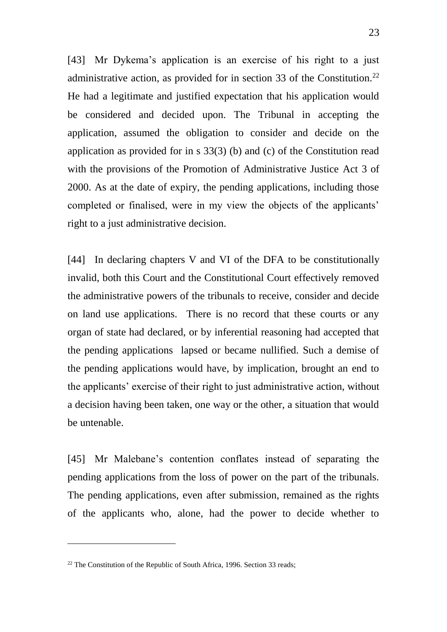[43] Mr Dykema's application is an exercise of his right to a just administrative action, as provided for in section 33 of the Constitution.<sup>22</sup> He had a legitimate and justified expectation that his application would be considered and decided upon. The Tribunal in accepting the application, assumed the obligation to consider and decide on the application as provided for in s 33(3) (b) and (c) of the Constitution read with the provisions of the Promotion of Administrative Justice Act 3 of 2000. As at the date of expiry, the pending applications, including those completed or finalised, were in my view the objects of the applicants' right to a just administrative decision.

[44] In declaring chapters V and VI of the DFA to be constitutionally invalid, both this Court and the Constitutional Court effectively removed the administrative powers of the tribunals to receive, consider and decide on land use applications. There is no record that these courts or any organ of state had declared, or by inferential reasoning had accepted that the pending applications lapsed or became nullified. Such a demise of the pending applications would have, by implication, brought an end to the applicants' exercise of their right to just administrative action, without a decision having been taken, one way or the other, a situation that would be untenable.

[45] Mr Malebane's contention conflates instead of separating the pending applications from the loss of power on the part of the tribunals. The pending applications, even after submission, remained as the rights of the applicants who, alone, had the power to decide whether to

 $\overline{a}$ 

 $22$  The Constitution of the Republic of South Africa, 1996. Section 33 reads: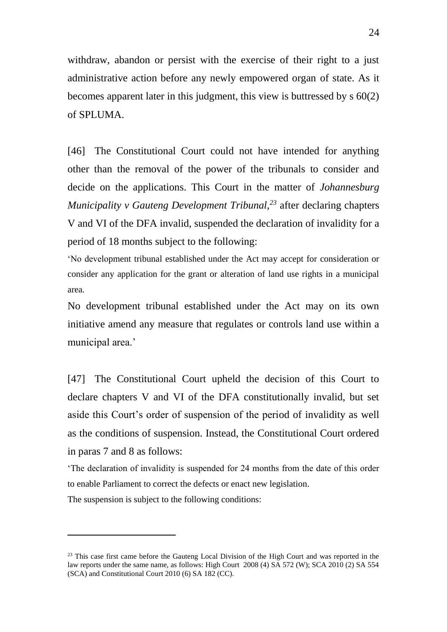withdraw, abandon or persist with the exercise of their right to a just administrative action before any newly empowered organ of state. As it becomes apparent later in this judgment, this view is buttressed by s 60(2) of SPLUMA.

[46] The Constitutional Court could not have intended for anything other than the removal of the power of the tribunals to consider and decide on the applications. This Court in the matter of *Johannesburg Municipality v Gauteng Development Tribunal,<sup>23</sup>* after declaring chapters V and VI of the DFA invalid, suspended the declaration of invalidity for a period of 18 months subject to the following:

'No development tribunal established under the Act may accept for consideration or consider any application for the grant or alteration of land use rights in a municipal area.

No development tribunal established under the Act may on its own initiative amend any measure that regulates or controls land use within a municipal area.'

[47] The Constitutional Court upheld the decision of this Court to declare chapters V and VI of the DFA constitutionally invalid, but set aside this Court's order of suspension of the period of invalidity as well as the conditions of suspension. Instead, the Constitutional Court ordered in paras 7 and 8 as follows:

'The declaration of invalidity is suspended for 24 months from the date of this order to enable Parliament to correct the defects or enact new legislation.

The suspension is subject to the following conditions:

-

<sup>&</sup>lt;sup>23</sup> This case first came before the Gauteng Local Division of the High Court and was reported in the law reports under the same name, as follows: High Court 2008 (4) SA 572 (W); SCA 2010 (2) SA 554 (SCA) and Constitutional Court 2010 (6) SA 182 (CC).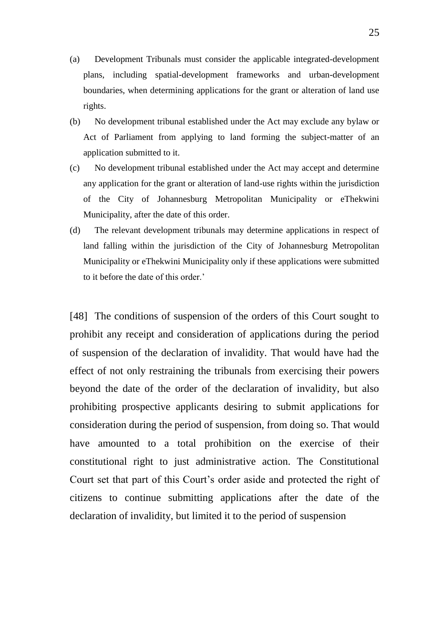- (a) Development Tribunals must consider the applicable integrated-development plans, including spatial-development frameworks and urban-development boundaries, when determining applications for the grant or alteration of land use rights.
- (b) No development tribunal established under the Act may exclude any bylaw or Act of Parliament from applying to land forming the subject-matter of an application submitted to it.
- (c) No development tribunal established under the Act may accept and determine any application for the grant or alteration of land-use rights within the jurisdiction of the City of Johannesburg Metropolitan Municipality or eThekwini Municipality, after the date of this order.
- (d) The relevant development tribunals may determine applications in respect of land falling within the jurisdiction of the City of Johannesburg Metropolitan Municipality or eThekwini Municipality only if these applications were submitted to it before the date of this order.'

[48] The conditions of suspension of the orders of this Court sought to prohibit any receipt and consideration of applications during the period of suspension of the declaration of invalidity. That would have had the effect of not only restraining the tribunals from exercising their powers beyond the date of the order of the declaration of invalidity, but also prohibiting prospective applicants desiring to submit applications for consideration during the period of suspension, from doing so. That would have amounted to a total prohibition on the exercise of their constitutional right to just administrative action. The Constitutional Court set that part of this Court's order aside and protected the right of citizens to continue submitting applications after the date of the declaration of invalidity, but limited it to the period of suspension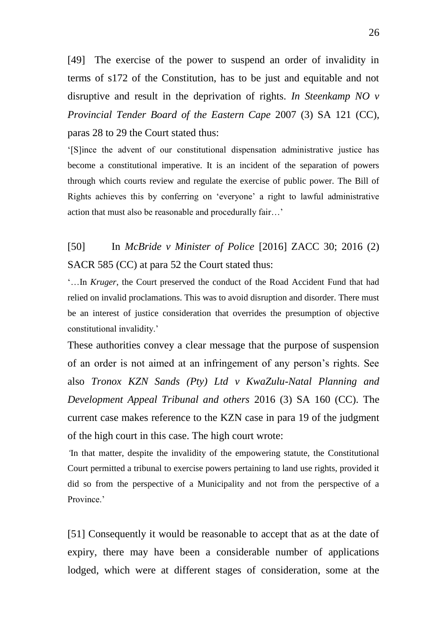[49] The exercise of the power to suspend an order of invalidity in terms of s172 of the Constitution, has to be just and equitable and not disruptive and result in the deprivation of rights. *In Steenkamp NO v Provincial Tender Board of the Eastern Cape* 2007 (3) SA 121 (CC), paras 28 to 29 the Court stated thus:

'[S]ince the advent of our constitutional dispensation administrative justice has become a constitutional imperative. It is an incident of the separation of powers through which courts review and regulate the exercise of public power. The Bill of Rights achieves this by conferring on 'everyone' a right to lawful administrative action that must also be reasonable and procedurally fair…'

[50] In *McBride v Minister of Police* [2016] ZACC 30; 2016 (2) SACR 585 (CC) at para 52 the Court stated thus:

'…In *Kruger*, the Court preserved the conduct of the Road Accident Fund that had relied on invalid proclamations. This was to avoid disruption and disorder. There must be an interest of justice consideration that overrides the presumption of objective constitutional invalidity.'

These authorities convey a clear message that the purpose of suspension of an order is not aimed at an infringement of any person's rights. See also *Tronox KZN Sands (Pty) Ltd v KwaZulu-Natal Planning and Development Appeal Tribunal and others* 2016 (3) SA 160 (CC). The current case makes reference to the KZN case in para 19 of the judgment of the high court in this case. The high court wrote:

*'*In that matter, despite the invalidity of the empowering statute, the Constitutional Court permitted a tribunal to exercise powers pertaining to land use rights, provided it did so from the perspective of a Municipality and not from the perspective of a Province<sup>'</sup>

[51] Consequently it would be reasonable to accept that as at the date of expiry, there may have been a considerable number of applications lodged, which were at different stages of consideration, some at the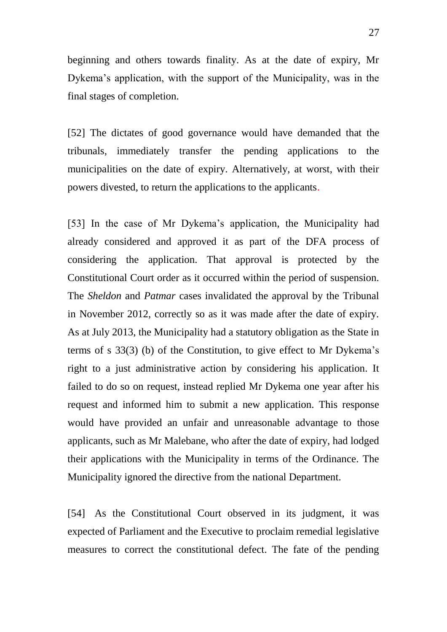beginning and others towards finality. As at the date of expiry, Mr Dykema's application, with the support of the Municipality, was in the final stages of completion.

[52] The dictates of good governance would have demanded that the tribunals, immediately transfer the pending applications to the municipalities on the date of expiry. Alternatively, at worst, with their powers divested, to return the applications to the applicants.

[53] In the case of Mr Dykema's application, the Municipality had already considered and approved it as part of the DFA process of considering the application. That approval is protected by the Constitutional Court order as it occurred within the period of suspension. The *Sheldon* and *Patmar* cases invalidated the approval by the Tribunal in November 2012, correctly so as it was made after the date of expiry. As at July 2013, the Municipality had a statutory obligation as the State in terms of s 33(3) (b) of the Constitution, to give effect to Mr Dykema's right to a just administrative action by considering his application. It failed to do so on request, instead replied Mr Dykema one year after his request and informed him to submit a new application. This response would have provided an unfair and unreasonable advantage to those applicants, such as Mr Malebane, who after the date of expiry, had lodged their applications with the Municipality in terms of the Ordinance. The Municipality ignored the directive from the national Department.

[54] As the Constitutional Court observed in its judgment, it was expected of Parliament and the Executive to proclaim remedial legislative measures to correct the constitutional defect. The fate of the pending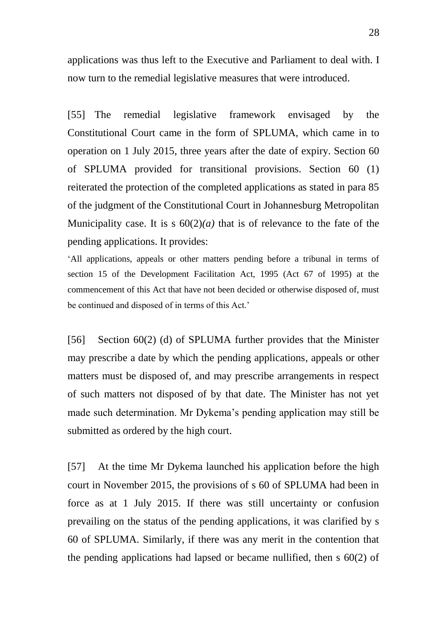applications was thus left to the Executive and Parliament to deal with. I now turn to the remedial legislative measures that were introduced.

[55] The remedial legislative framework envisaged by the Constitutional Court came in the form of SPLUMA, which came in to operation on 1 July 2015, three years after the date of expiry. Section 60 of SPLUMA provided for transitional provisions. Section 60 (1) reiterated the protection of the completed applications as stated in para 85 of the judgment of the Constitutional Court in Johannesburg Metropolitan Municipality case. It is s  $60(2)(a)$  that is of relevance to the fate of the pending applications. It provides:

'All applications, appeals or other matters pending before a tribunal in terms of section 15 of the Development Facilitation Act, 1995 (Act 67 of 1995) at the commencement of this Act that have not been decided or otherwise disposed of, must be continued and disposed of in terms of this Act.'

[56] Section 60(2) (d) of SPLUMA further provides that the Minister may prescribe a date by which the pending applications, appeals or other matters must be disposed of, and may prescribe arrangements in respect of such matters not disposed of by that date. The Minister has not yet made such determination. Mr Dykema's pending application may still be submitted as ordered by the high court.

[57] At the time Mr Dykema launched his application before the high court in November 2015, the provisions of s 60 of SPLUMA had been in force as at 1 July 2015. If there was still uncertainty or confusion prevailing on the status of the pending applications, it was clarified by s 60 of SPLUMA. Similarly, if there was any merit in the contention that the pending applications had lapsed or became nullified, then s 60(2) of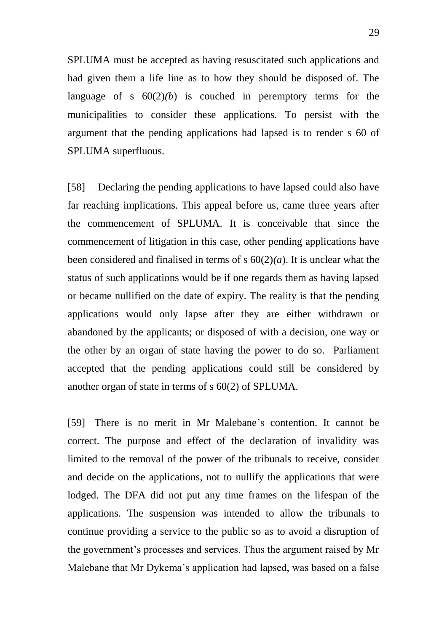SPLUMA must be accepted as having resuscitated such applications and had given them a life line as to how they should be disposed of. The language of s  $60(2)(b)$  is couched in peremptory terms for the municipalities to consider these applications. To persist with the argument that the pending applications had lapsed is to render s 60 of SPLUMA superfluous.

[58] Declaring the pending applications to have lapsed could also have far reaching implications. This appeal before us, came three years after the commencement of SPLUMA. It is conceivable that since the commencement of litigation in this case, other pending applications have been considered and finalised in terms of s 60(2)*(a*). It is unclear what the status of such applications would be if one regards them as having lapsed or became nullified on the date of expiry. The reality is that the pending applications would only lapse after they are either withdrawn or abandoned by the applicants; or disposed of with a decision, one way or the other by an organ of state having the power to do so. Parliament accepted that the pending applications could still be considered by another organ of state in terms of s 60(2) of SPLUMA.

[59] There is no merit in Mr Malebane's contention. It cannot be correct. The purpose and effect of the declaration of invalidity was limited to the removal of the power of the tribunals to receive, consider and decide on the applications, not to nullify the applications that were lodged. The DFA did not put any time frames on the lifespan of the applications. The suspension was intended to allow the tribunals to continue providing a service to the public so as to avoid a disruption of the government's processes and services. Thus the argument raised by Mr Malebane that Mr Dykema's application had lapsed, was based on a false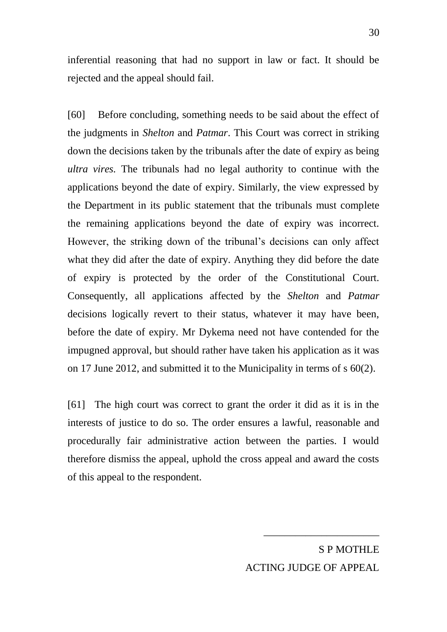inferential reasoning that had no support in law or fact. It should be rejected and the appeal should fail.

[60] Before concluding, something needs to be said about the effect of the judgments in *Shelton* and *Patmar*. This Court was correct in striking down the decisions taken by the tribunals after the date of expiry as being *ultra vires.* The tribunals had no legal authority to continue with the applications beyond the date of expiry. Similarly, the view expressed by the Department in its public statement that the tribunals must complete the remaining applications beyond the date of expiry was incorrect. However, the striking down of the tribunal's decisions can only affect what they did after the date of expiry. Anything they did before the date of expiry is protected by the order of the Constitutional Court. Consequently, all applications affected by the *Shelton* and *Patmar* decisions logically revert to their status, whatever it may have been, before the date of expiry. Mr Dykema need not have contended for the impugned approval, but should rather have taken his application as it was on 17 June 2012, and submitted it to the Municipality in terms of s 60(2).

[61] The high court was correct to grant the order it did as it is in the interests of justice to do so. The order ensures a lawful, reasonable and procedurally fair administrative action between the parties. I would therefore dismiss the appeal, uphold the cross appeal and award the costs of this appeal to the respondent.

> S P MOTHLE ACTING JUDGE OF APPEAL

\_\_\_\_\_\_\_\_\_\_\_\_\_\_\_\_\_\_\_\_\_\_